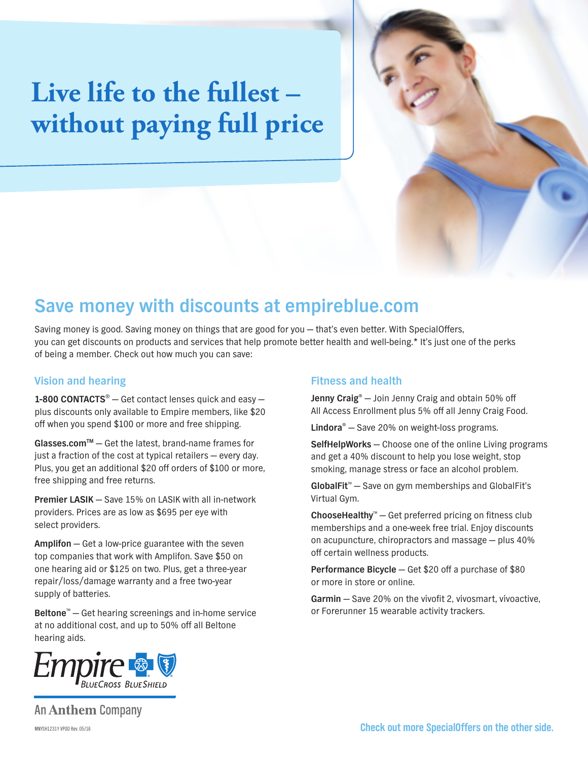# **Live life to the fullest – without paying full price**

### **Save money with discounts at empireblue.com**

Saving money is good. Saving money on things that are good for you — that's even better. With SpecialOffers, you can get discounts on products and services that help promote better health and well-being.\* It's just one of the perks of being a member. Check out how much you can save:

#### **Vision and hearing**

**1-800 CONTACTS**® — Get contact lenses quick and easy plus discounts only available to Empire members, like \$20 off when you spend \$100 or more and free shipping.

**Glasses.comTM** — Get the latest, brand-name frames for just a fraction of the cost at typical retailers — every day. Plus, you get an additional \$20 off orders of \$100 or more, free shipping and free returns.

**Premier LASIK** — Save 15% on LASIK with all in-network providers. Prices are as low as \$695 per eye with select providers.

**Amplifon** — Get a low-price guarantee with the seven top companies that work with Amplifon. Save \$50 on one hearing aid or \$125 on two. Plus, get a three-year repair/loss/damage warranty and a free two-year supply of batteries.

**Beltone**™ — Get hearing screenings and in-home service at no additional cost, and up to 50% off all Beltone hearing aids.



### **Fitness and health**

**Jenny Craig®** — Join Jenny Craig and obtain 50% off All Access Enrollment plus 5% off all Jenny Craig Food.

**Lindora®** — Save 20% on weight-loss programs.

**SelfHelpWorks** — Choose one of the online Living programs and get a 40% discount to help you lose weight, stop smoking, manage stress or face an alcohol problem.

**GlobalFit**™ — Save on gym memberships and GlobalFit's Virtual Gym.

**ChooseHealthy**™ — Get preferred pricing on fitness club memberships and a one-week free trial. Enjoy discounts on acupuncture, chiropractors and massage — plus 40% off certain wellness products.

**Performance Bicycle** — Get \$20 off a purchase of \$80 or more in store or online.

**Garmin** — Save 20% on the vívofit 2, vívosmart, vívoactive, or Forerunner 15 wearable activity trackers.